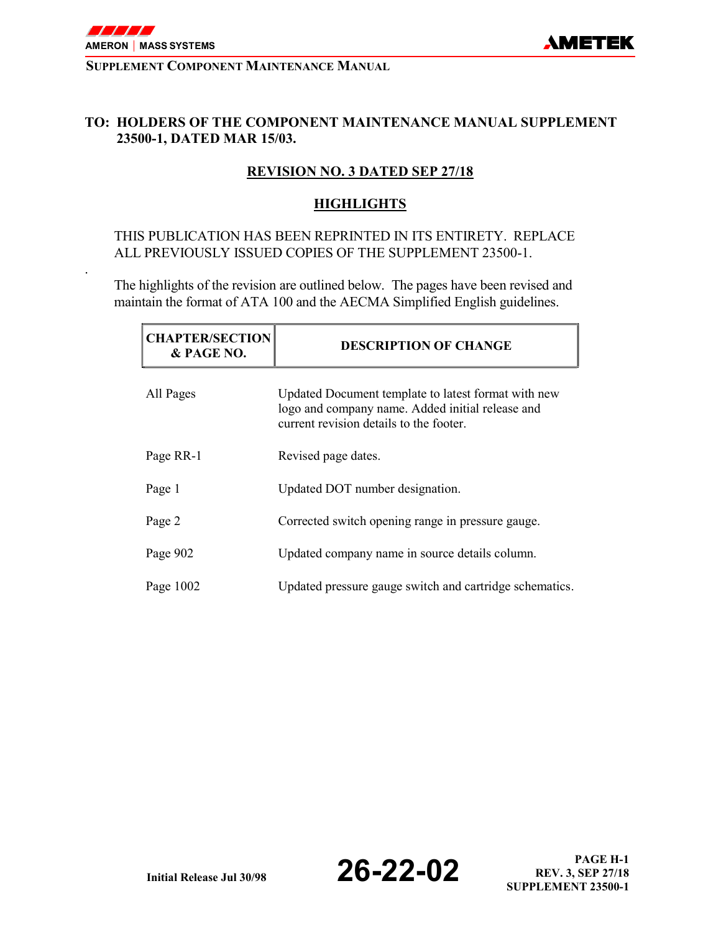

.

SUPPLEMENT COMPONENT MAINTENANCE MANUAL

### TO: HOLDERS OF THE COMPONENT MAINTENANCE MANUAL SUPPLEMENT 23500-1, DATED MAR 15/03.

## REVISION NO. 3 DATED SEP 27/18

## **HIGHLIGHTS**

## THIS PUBLICATION HAS BEEN REPRINTED IN ITS ENTIRETY. REPLACE ALL PREVIOUSLY ISSUED COPIES OF THE SUPPLEMENT 23500-1.

The highlights of the revision are outlined below. The pages have been revised and maintain the format of ATA 100 and the AECMA Simplified English guidelines.

| <b>CHAPTER/SECTION</b><br>& PAGE NO. | <b>DESCRIPTION OF CHANGE</b>                                                                                                                       |
|--------------------------------------|----------------------------------------------------------------------------------------------------------------------------------------------------|
| All Pages                            | Updated Document template to latest format with new<br>logo and company name. Added initial release and<br>current revision details to the footer. |
| Page RR-1                            | Revised page dates.                                                                                                                                |
| Page 1                               | Updated DOT number designation.                                                                                                                    |
| Page 2                               | Corrected switch opening range in pressure gauge.                                                                                                  |
| Page 902                             | Updated company name in source details column.                                                                                                     |
| Page $1002$                          | Updated pressure gauge switch and cartridge schematics.                                                                                            |

Initial Release Jul 30/98 26-22-02 PAGE H-1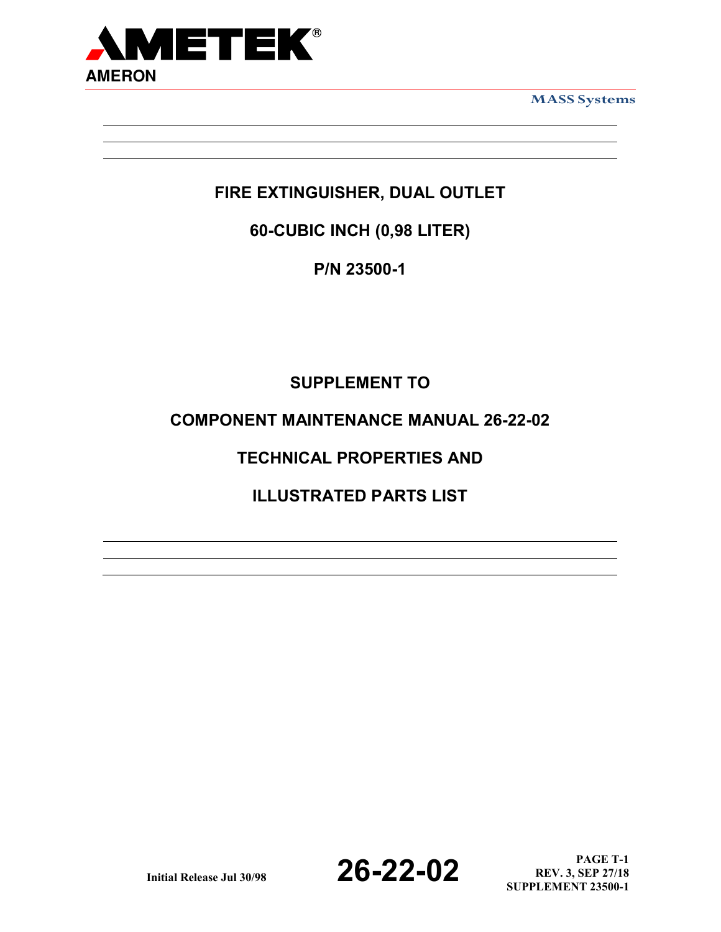

MASS Systems

# FIRE EXTINGUISHER, DUAL OUTLET

60-CUBIC INCH (0,98 LITER)

P/N 23500-1

SUPPLEMENT TO

# COMPONENT MAINTENANCE MANUAL 26-22-02

TECHNICAL PROPERTIES AND

ILLUSTRATED PARTS LIST

Initial Release Jul 30/98 26-22-02 PAGE T-1 REV. 3, SEP 27/18 SUPPLEMENT 23500-1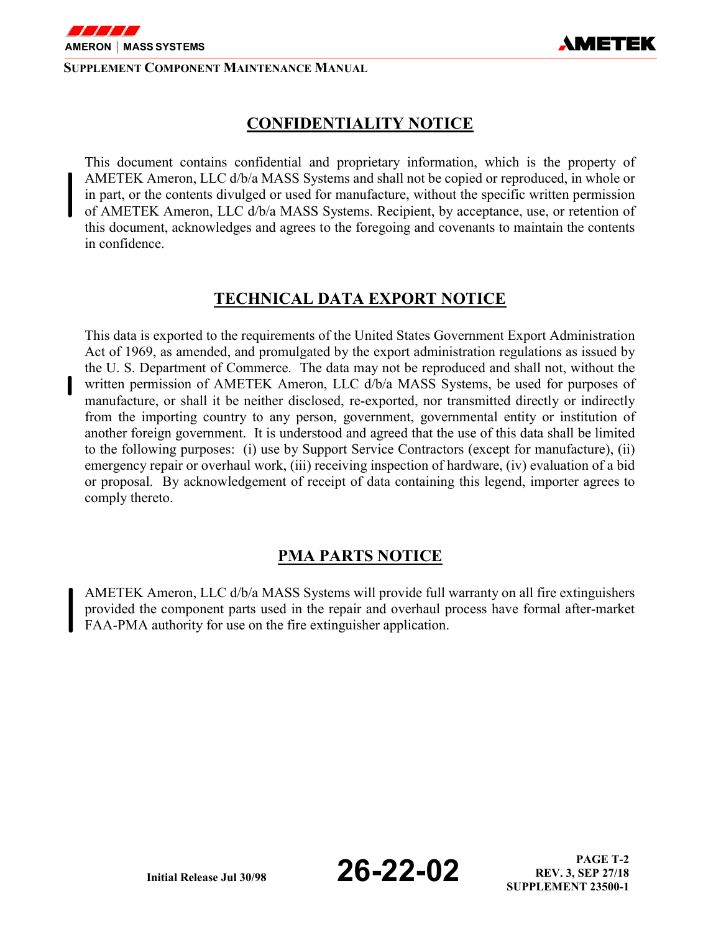

# CONFIDENTIALITY NOTICE

This document contains confidential and proprietary information, which is the property of AMETEK Ameron, LLC d/b/a MASS Systems and shall not be copied or reproduced, in whole or in part, or the contents divulged or used for manufacture, without the specific written permission of AMETEK Ameron, LLC d/b/a MASS Systems. Recipient, by acceptance, use, or retention of this document, acknowledges and agrees to the foregoing and covenants to maintain the contents in confidence.

# TECHNICAL DATA EXPORT NOTICE

This data is exported to the requirements of the United States Government Export Administration Act of 1969, as amended, and promulgated by the export administration regulations as issued by the U. S. Department of Commerce. The data may not be reproduced and shall not, without the written permission of AMETEK Ameron, LLC d/b/a MASS Systems, be used for purposes of manufacture, or shall it be neither disclosed, re-exported, nor transmitted directly or indirectly from the importing country to any person, government, governmental entity or institution of another foreign government. It is understood and agreed that the use of this data shall be limited to the following purposes: (i) use by Support Service Contractors (except for manufacture), (ii) emergency repair or overhaul work, (iii) receiving inspection of hardware, (iv) evaluation of a bid or proposal. By acknowledgement of receipt of data containing this legend, importer agrees to comply thereto.

# PMA PARTS NOTICE

AMETEK Ameron, LLC d/b/a MASS Systems will provide full warranty on all fire extinguishers provided the component parts used in the repair and overhaul process have formal after-market FAA-PMA authority for use on the fire extinguisher application.

Initial Release Jul 30/98 26-22-02 PAGE T-2 REV. 3, SEP 27/18 SUPPLEMENT 23500-1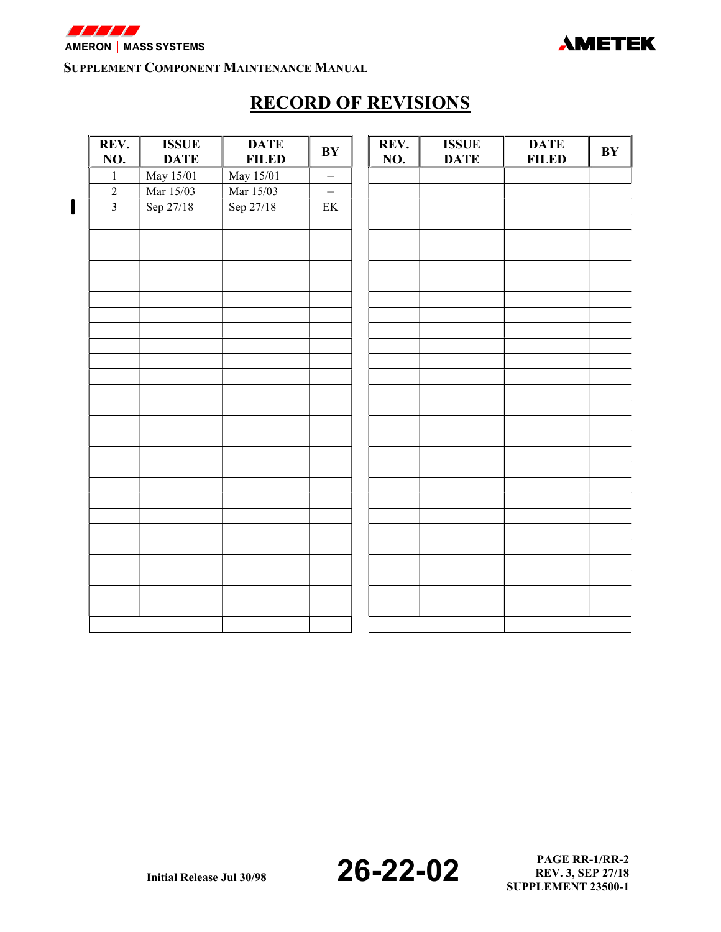

 $\mathbf{I}$ 

## SUPPLEMENT COMPONENT MAINTENANCE MANUAL

# RECORD OF REVISIONS

| REV.<br>NO.             | <b>ISSUE</b><br><b>DATE</b> | <b>DATE</b><br><b>FILED</b> | BY                                | REV.<br>NO. | <b>ISSUE</b><br><b>DATE</b> | <b>DATE</b><br><b>FILED</b> | <b>BY</b> |
|-------------------------|-----------------------------|-----------------------------|-----------------------------------|-------------|-----------------------------|-----------------------------|-----------|
| 1                       | May 15/01                   | May 15/01                   | $\hspace{1.0cm} - \hspace{1.0cm}$ |             |                             |                             |           |
| $\overline{2}$          | Mar 15/03                   | Mar 15/03                   | $\equiv$                          |             |                             |                             |           |
| $\overline{\mathbf{3}}$ | Sep 27/18                   | Sep 27/18                   | $\mathop{\rm EK}\nolimits$        |             |                             |                             |           |
|                         |                             |                             |                                   |             |                             |                             |           |
|                         |                             |                             |                                   |             |                             |                             |           |
|                         |                             |                             |                                   |             |                             |                             |           |
|                         |                             |                             |                                   |             |                             |                             |           |
|                         |                             |                             |                                   |             |                             |                             |           |
|                         |                             |                             |                                   |             |                             |                             |           |
|                         |                             |                             |                                   |             |                             |                             |           |
|                         |                             |                             |                                   |             |                             |                             |           |
|                         |                             |                             |                                   |             |                             |                             |           |
|                         |                             |                             |                                   |             |                             |                             |           |
|                         |                             |                             |                                   |             |                             |                             |           |
|                         |                             |                             |                                   |             |                             |                             |           |
|                         |                             |                             |                                   |             |                             |                             |           |
|                         |                             |                             |                                   |             |                             |                             |           |
|                         |                             |                             |                                   |             |                             |                             |           |
|                         |                             |                             |                                   |             |                             |                             |           |
|                         |                             |                             |                                   |             |                             |                             |           |
|                         |                             |                             |                                   |             |                             |                             |           |
|                         |                             |                             |                                   |             |                             |                             |           |
|                         |                             |                             |                                   |             |                             |                             |           |
|                         |                             |                             |                                   |             |                             |                             |           |
|                         |                             |                             |                                   |             |                             |                             |           |
|                         |                             |                             |                                   |             |                             |                             |           |
|                         |                             |                             |                                   |             |                             |                             |           |
|                         |                             |                             |                                   |             |                             |                             |           |
|                         |                             |                             |                                   |             |                             |                             |           |
|                         |                             |                             |                                   |             |                             |                             |           |

Initial Release Jul 30/98 26-22-02 PAGE RR-1/RR-2 REV. 3, SEP 27/18 SUPPLEMENT 23500-1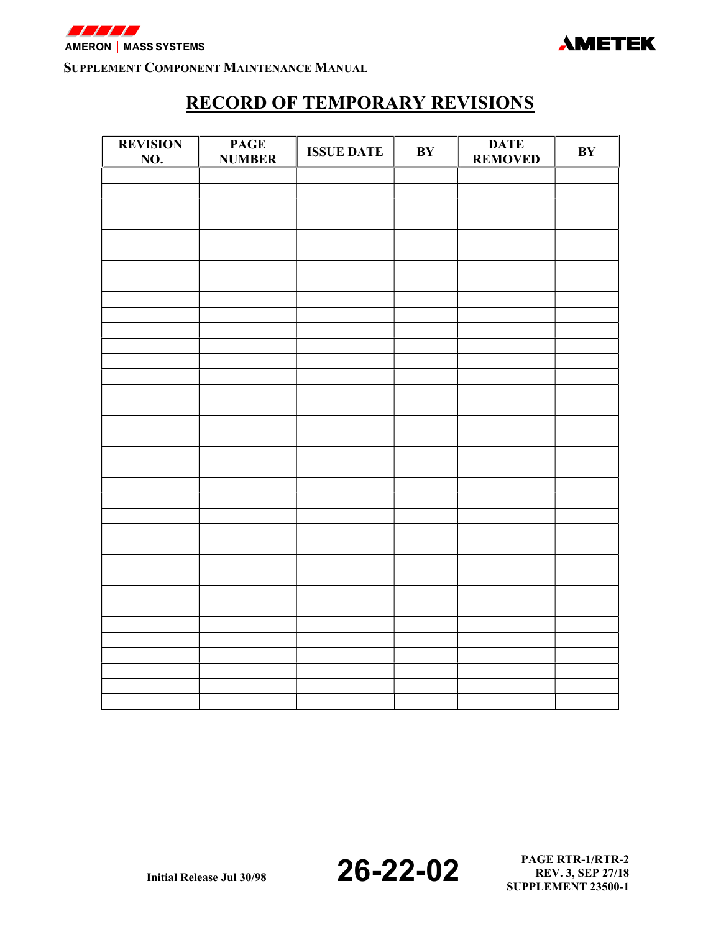



# AMERON | MASS SYSTEMS<br>SUPPLEMENT COMPONENT MAINTENANCE MANUAL<br>RECORD OF TEMPORARY REVISIONS RECORD OF TEMPORARY REVISIONS

| <b>REVISION</b><br>NO. | <b>PAGE</b><br><b>NUMBER</b> | <b>ISSUE DATE</b> | BY | <b>DATE</b><br><b>REMOVED</b> | BY |
|------------------------|------------------------------|-------------------|----|-------------------------------|----|
|                        |                              |                   |    |                               |    |
|                        |                              |                   |    |                               |    |
|                        |                              |                   |    |                               |    |
|                        |                              |                   |    |                               |    |
|                        |                              |                   |    |                               |    |
|                        |                              |                   |    |                               |    |
|                        |                              |                   |    |                               |    |
|                        |                              |                   |    |                               |    |
|                        |                              |                   |    |                               |    |
|                        |                              |                   |    |                               |    |
|                        |                              |                   |    |                               |    |
|                        |                              |                   |    |                               |    |
|                        |                              |                   |    |                               |    |
|                        |                              |                   |    |                               |    |
|                        |                              |                   |    |                               |    |
|                        |                              |                   |    |                               |    |
|                        |                              |                   |    |                               |    |
|                        |                              |                   |    |                               |    |
|                        |                              |                   |    |                               |    |
|                        |                              |                   |    |                               |    |
|                        |                              |                   |    |                               |    |
|                        |                              |                   |    |                               |    |
|                        |                              |                   |    |                               |    |
|                        |                              |                   |    |                               |    |
|                        |                              |                   |    |                               |    |
|                        |                              |                   |    |                               |    |
|                        |                              |                   |    |                               |    |
|                        |                              |                   |    |                               |    |
|                        |                              |                   |    |                               |    |
|                        |                              |                   |    |                               |    |
|                        |                              |                   |    |                               |    |
|                        |                              |                   |    |                               |    |
|                        |                              |                   |    |                               |    |
|                        |                              |                   |    |                               |    |
|                        |                              |                   |    |                               |    |
|                        |                              |                   |    |                               |    |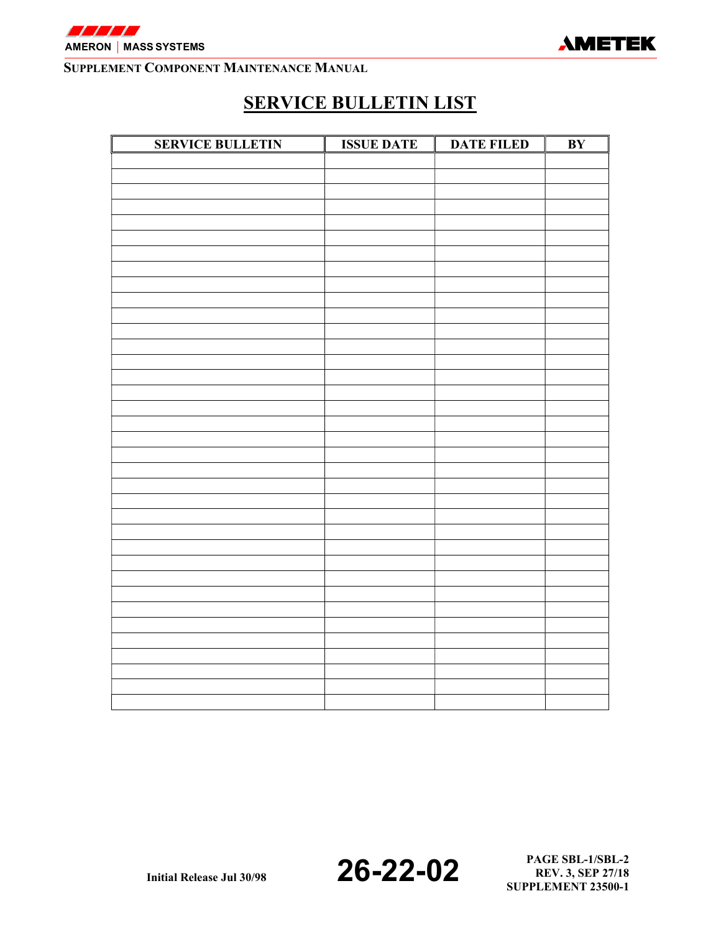



# SERVICE BULLETIN LIST

| <b>SERVICE BULLETIN</b> | <b>ISSUE DATE</b> | <b>DATE FILED</b> | $\overline{BY}$ |
|-------------------------|-------------------|-------------------|-----------------|
|                         |                   |                   |                 |
|                         |                   |                   |                 |
|                         |                   |                   |                 |
|                         |                   |                   |                 |
|                         |                   |                   |                 |
|                         |                   |                   |                 |
|                         |                   |                   |                 |
|                         |                   |                   |                 |
|                         |                   |                   |                 |
|                         |                   |                   |                 |
|                         |                   |                   |                 |
|                         |                   |                   |                 |
|                         |                   |                   |                 |
|                         |                   |                   |                 |
|                         |                   |                   |                 |
|                         |                   |                   |                 |
|                         |                   |                   |                 |
|                         |                   |                   |                 |
|                         |                   |                   |                 |
|                         |                   |                   |                 |
|                         |                   |                   |                 |
|                         |                   |                   |                 |
|                         |                   |                   |                 |
|                         |                   |                   |                 |
|                         |                   |                   |                 |
|                         |                   |                   |                 |
|                         |                   |                   |                 |
|                         |                   |                   |                 |
|                         |                   |                   |                 |
|                         |                   |                   |                 |
|                         |                   |                   |                 |
|                         |                   |                   |                 |
|                         |                   |                   |                 |
|                         |                   |                   |                 |
|                         |                   |                   |                 |
|                         |                   |                   |                 |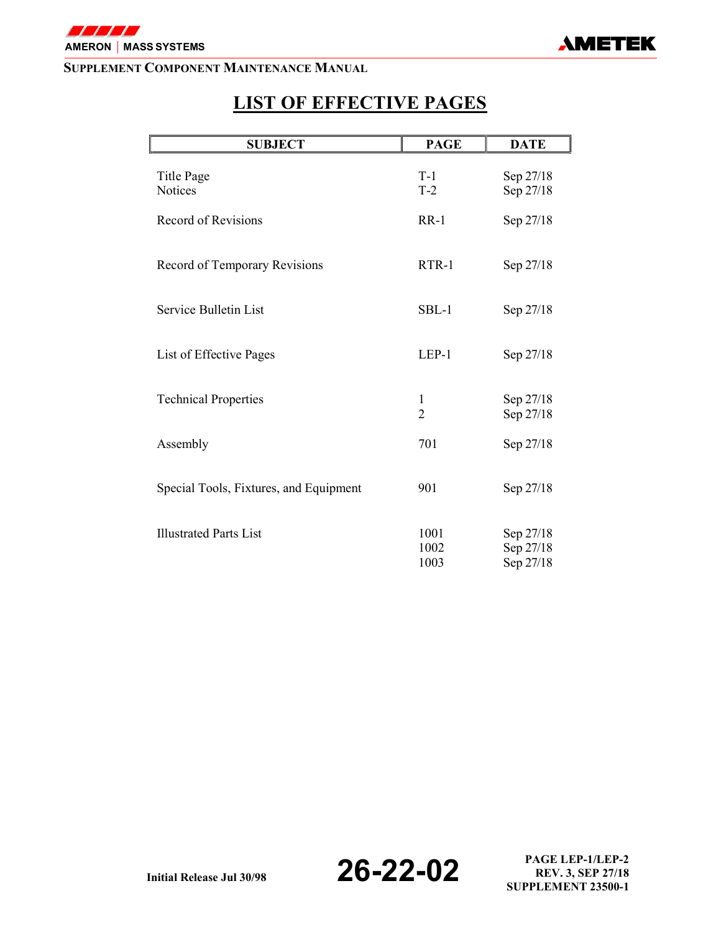

# LIST OF EFFECTIVE PAGES

| <b>SUBJECT</b>                         | <b>PAGE</b>          | <b>DATE</b>                         |
|----------------------------------------|----------------------|-------------------------------------|
| Title Page<br><b>Notices</b>           | $T-1$<br>$T-2$       | Sep 27/18<br>Sep 27/18              |
| <b>Record of Revisions</b>             | $RR-1$               | Sep 27/18                           |
| Record of Temporary Revisions          | RTR-1                | Sep 27/18                           |
| Service Bulletin List                  | $SBL-1$              | Sep 27/18                           |
| List of Effective Pages                | LEP-1                | Sep 27/18                           |
| <b>Technical Properties</b>            | 1<br>$\overline{2}$  | Sep 27/18<br>Sep 27/18              |
| Assembly                               | 701                  | Sep 27/18                           |
| Special Tools, Fixtures, and Equipment | 901                  | Sep 27/18                           |
| <b>Illustrated Parts List</b>          | 1001<br>1002<br>1003 | Sep 27/18<br>Sep 27/18<br>Sep 27/18 |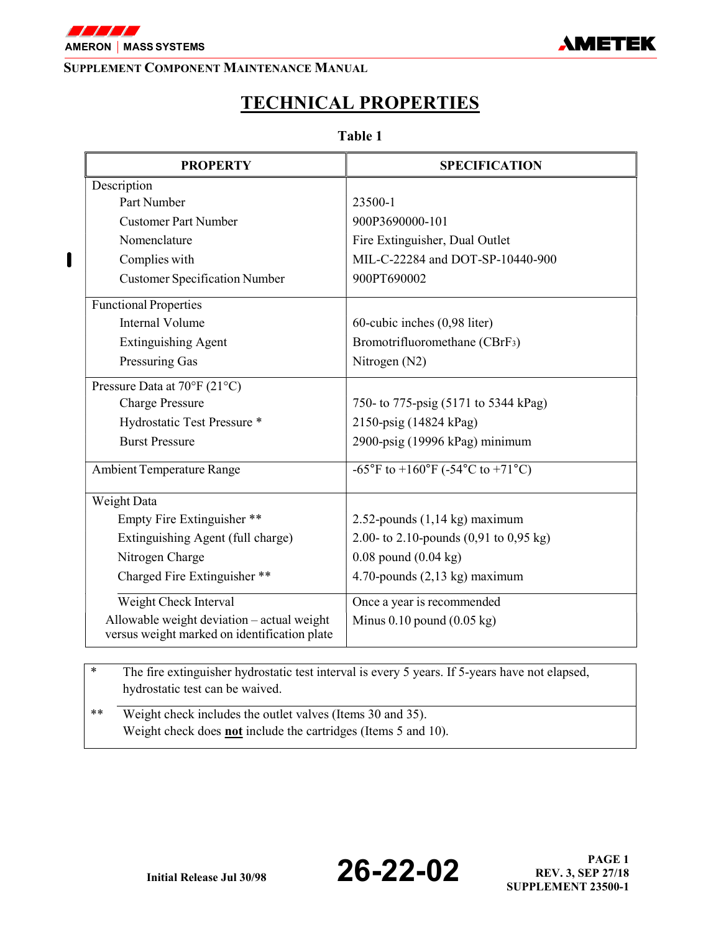

 $\mathbf{I}$ 

## SUPPLEMENT COMPONENT MAINTENANCE MANUAL

# TECHNICAL PROPERTIES

### Table 1

| <b>PROPERTY</b>                                                                            | <b>SPECIFICATION</b>                                                      |
|--------------------------------------------------------------------------------------------|---------------------------------------------------------------------------|
| Description                                                                                |                                                                           |
| Part Number                                                                                | 23500-1                                                                   |
| <b>Customer Part Number</b>                                                                | 900P3690000-101                                                           |
| Nomenclature                                                                               | Fire Extinguisher, Dual Outlet                                            |
| Complies with                                                                              | MIL-C-22284 and DOT-SP-10440-900                                          |
| <b>Customer Specification Number</b>                                                       | 900PT690002                                                               |
| <b>Functional Properties</b>                                                               |                                                                           |
| <b>Internal Volume</b>                                                                     | 60-cubic inches (0,98 liter)                                              |
| <b>Extinguishing Agent</b>                                                                 | Bromotrifluoromethane (CBrF <sub>3</sub> )                                |
| Pressuring Gas                                                                             | Nitrogen (N2)                                                             |
| Pressure Data at $70^{\circ}$ F (21°C)                                                     |                                                                           |
| <b>Charge Pressure</b>                                                                     | 750- to 775-psig (5171 to 5344 kPag)                                      |
| Hydrostatic Test Pressure *                                                                | 2150-psig (14824 kPag)                                                    |
| <b>Burst Pressure</b>                                                                      | 2900-psig (19996 kPag) minimum                                            |
| <b>Ambient Temperature Range</b>                                                           | $-65^{\circ}$ F to $+160^{\circ}$ F ( $-54^{\circ}$ C to $+71^{\circ}$ C) |
| Weight Data                                                                                |                                                                           |
| Empty Fire Extinguisher **                                                                 | 2.52-pounds $(1,14 \text{ kg})$ maximum                                   |
| Extinguishing Agent (full charge)                                                          | 2.00- to 2.10-pounds (0,91 to 0,95 kg)                                    |
| Nitrogen Charge                                                                            | $0.08$ pound $(0.04 \text{ kg})$                                          |
| Charged Fire Extinguisher **                                                               | 4.70-pounds $(2,13 \text{ kg})$ maximum                                   |
| Weight Check Interval                                                                      | Once a year is recommended                                                |
| Allowable weight deviation - actual weight<br>versus weight marked on identification plate | Minus $0.10$ pound $(0.05 \text{ kg})$                                    |

\* The fire extinguisher hydrostatic test interval is every 5 years. If 5-years have not elapsed, hydrostatic test can be waived.

\*\* Weight check includes the outlet valves (Items 30 and 35). Weight check does **not** include the cartridges (Items 5 and 10).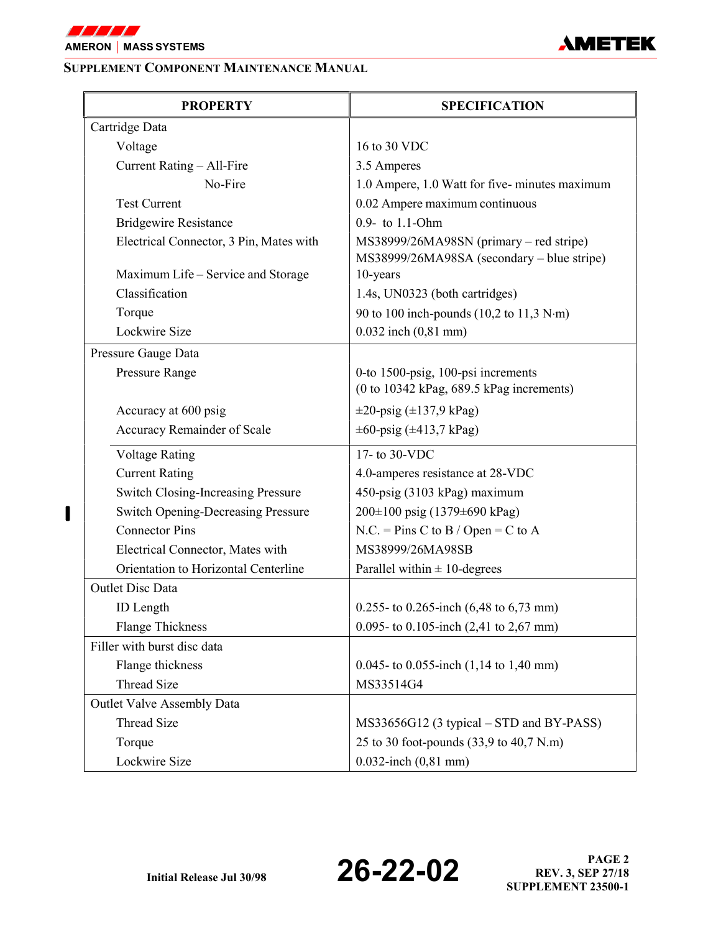

 $\mathbf{I}$ 

# SUPPLEMENT COMPONENT MAINTENANCE MANUAL

| <b>PROPERTY</b>                           | <b>SPECIFICATION</b>                                                                                |
|-------------------------------------------|-----------------------------------------------------------------------------------------------------|
| Cartridge Data                            |                                                                                                     |
| Voltage                                   | 16 to 30 VDC                                                                                        |
| Current Rating – All-Fire                 | 3.5 Amperes                                                                                         |
| No-Fire                                   | 1.0 Ampere, 1.0 Watt for five-minutes maximum                                                       |
| <b>Test Current</b>                       | 0.02 Ampere maximum continuous                                                                      |
| <b>Bridgewire Resistance</b>              | $0.9 -$ to 1.1-Ohm                                                                                  |
| Electrical Connector, 3 Pin, Mates with   | MS38999/26MA98SN (primary – red stripe)<br>MS38999/26MA98SA (secondary – blue stripe)               |
| Maximum Life - Service and Storage        | 10-years                                                                                            |
| Classification                            | 1.4s, UN0323 (both cartridges)                                                                      |
| Torque<br>Lockwire Size                   | 90 to 100 inch-pounds $(10,2 \text{ to } 11,3 \text{ N}\cdot\text{m})$<br>$0.032$ inch $(0, 81$ mm) |
| Pressure Gauge Data                       |                                                                                                     |
| Pressure Range                            | 0-to 1500-psig, 100-psi increments                                                                  |
|                                           | $(0 to 10342 kPag, 689.5 kPag increments)$                                                          |
| Accuracy at 600 psig                      | $\pm 20$ -psig ( $\pm 137,9$ kPag)                                                                  |
| Accuracy Remainder of Scale               | $\pm 60$ -psig ( $\pm 413,7$ kPag)                                                                  |
| <b>Voltage Rating</b>                     | 17- to 30-VDC                                                                                       |
| <b>Current Rating</b>                     | 4.0-amperes resistance at 28-VDC                                                                    |
| <b>Switch Closing-Increasing Pressure</b> | 450-psig (3103 kPag) maximum                                                                        |
| <b>Switch Opening-Decreasing Pressure</b> | 200±100 psig (1379±690 kPag)                                                                        |
| <b>Connector Pins</b>                     | $N.C. = Pins C to B / Open = C to A$                                                                |
| Electrical Connector, Mates with          | MS38999/26MA98SB                                                                                    |
| Orientation to Horizontal Centerline      | Parallel within $\pm$ 10-degrees                                                                    |
| <b>Outlet Disc Data</b>                   |                                                                                                     |
| ID Length                                 | 0.255- to 0.265-inch $(6,48 \text{ to } 6,73 \text{ mm})$                                           |
| <b>Flange Thickness</b>                   | 0.095- to 0.105-inch $(2,41$ to 2,67 mm)                                                            |
| Filler with burst disc data               |                                                                                                     |
| Flange thickness                          | 0.045- to 0.055-inch $(1,14$ to 1,40 mm)                                                            |
| <b>Thread Size</b>                        | MS33514G4                                                                                           |
| Outlet Valve Assembly Data                |                                                                                                     |
| <b>Thread Size</b>                        | MS33656G12 (3 typical – STD and BY-PASS)                                                            |
|                                           | 25 to 30 foot-pounds (33,9 to 40,7 N.m)                                                             |
| Torque                                    |                                                                                                     |

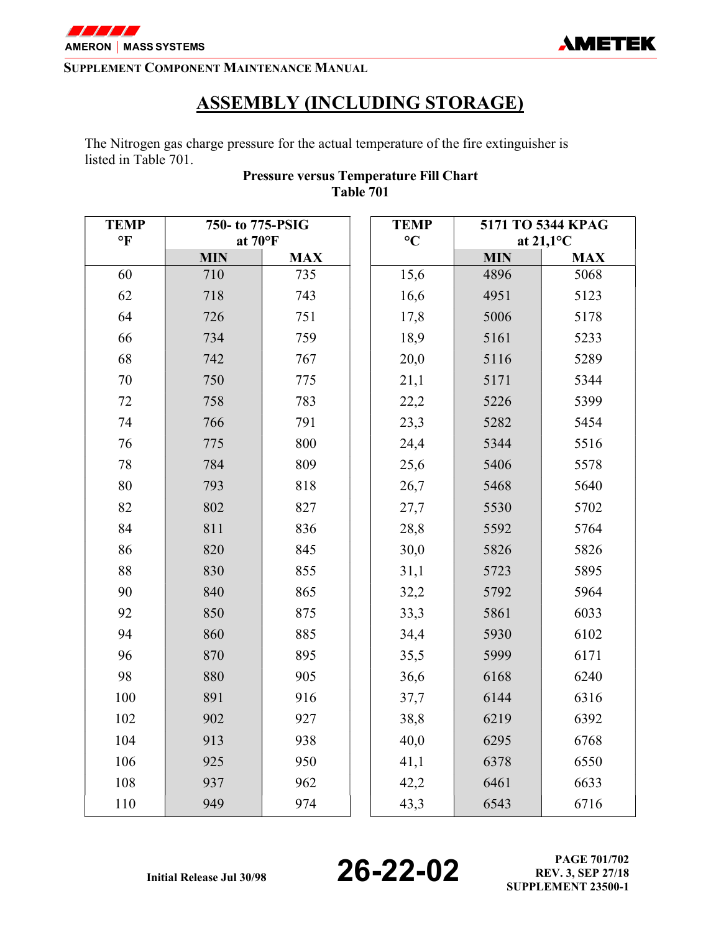

# AMERON | MASS SYSTEMS<br>SUPPLEMENT COMPONENT MAINTENANCE MANUAL<br>ASSEMBLY (INCLUDING STORAGE) ASSEMBLY (INCLUDING STORAGE)

The Nitrogen gas charge pressure for the actual temperature of the fire extinguisher is listed in Table 701.

# Pressure versus Temperature Fill Chart Table 701

| <b>TEMP</b>  | 750- to 775-PSIG  |                   | <b>TEMP</b> |                 |                    | 5171 TO 5344 KPAG<br>at $21,1$ <sup>o</sup> C |  |  |
|--------------|-------------------|-------------------|-------------|-----------------|--------------------|-----------------------------------------------|--|--|
| $\mathbf{P}$ | at $70^{\circ}$ F |                   |             | $\rm ^{\circ}C$ |                    |                                               |  |  |
| 60           | <b>MIN</b><br>710 | <b>MAX</b><br>735 |             | 15,6            | <b>MIN</b><br>4896 | <b>MAX</b><br>5068                            |  |  |
|              |                   |                   |             |                 |                    |                                               |  |  |
| 62           | 718               | 743               |             | 16,6            | 4951               | 5123                                          |  |  |
| 64           | 726               | 751               |             | 17,8            | 5006               | 5178                                          |  |  |
| 66           | 734               | 759               |             | 18,9            | 5161               | 5233                                          |  |  |
| 68           | 742               | 767               |             | 20,0            | 5116               | 5289                                          |  |  |
| 70           | 750               | 775               |             | 21,1            | 5171               | 5344                                          |  |  |
| 72           | 758               | 783               |             | 22,2            | 5226               | 5399                                          |  |  |
| 74           | 766               | 791               |             | 23,3            | 5282               | 5454                                          |  |  |
| 76           | 775               | 800               |             | 24,4            | 5344               | 5516                                          |  |  |
| 78           | 784               | 809               |             | 25,6            | 5406               | 5578                                          |  |  |
| 80           | 793               | 818               |             | 26,7            | 5468               | 5640                                          |  |  |
| 82           | 802               | 827               |             | 27,7            | 5530               | 5702                                          |  |  |
| 84           | 811               | 836               |             | 28,8            | 5592               | 5764                                          |  |  |
| 86           | 820               | 845               |             | 30,0            | 5826               | 5826                                          |  |  |
| 88           | 830               | 855               |             | 31,1            | 5723               | 5895                                          |  |  |
| 90           | 840               | 865               |             | 32,2            | 5792               | 5964                                          |  |  |
| 92           | 850               | 875               |             | 33,3            | 5861               | 6033                                          |  |  |
| 94           | 860               | 885               |             | 34,4            | 5930               | 6102                                          |  |  |
| 96           | 870               | 895               |             | 35,5            | 5999               | 6171                                          |  |  |
| 98           | 880               | 905               |             | 36,6            | 6168               | 6240                                          |  |  |
| 100          | 891               | 916               |             | 37,7            | 6144               | 6316                                          |  |  |
| 102          | 902               | 927               |             | 38,8            | 6219               | 6392                                          |  |  |
| 104          | 913               | 938               |             | 40,0            | 6295               | 6768                                          |  |  |
| 106          | 925               | 950               |             | 41,1            | 6378               | 6550                                          |  |  |
| 108          | 937               | 962               |             | 42,2            | 6461               | 6633                                          |  |  |
| 110          | 949               | 974               |             | 43,3            | 6543               | 6716                                          |  |  |

Initial Release Jul 30/98 26-22-02 PAGE 701/702 REV. 3, SEP 27/18 SUPPLEMENT 23500-1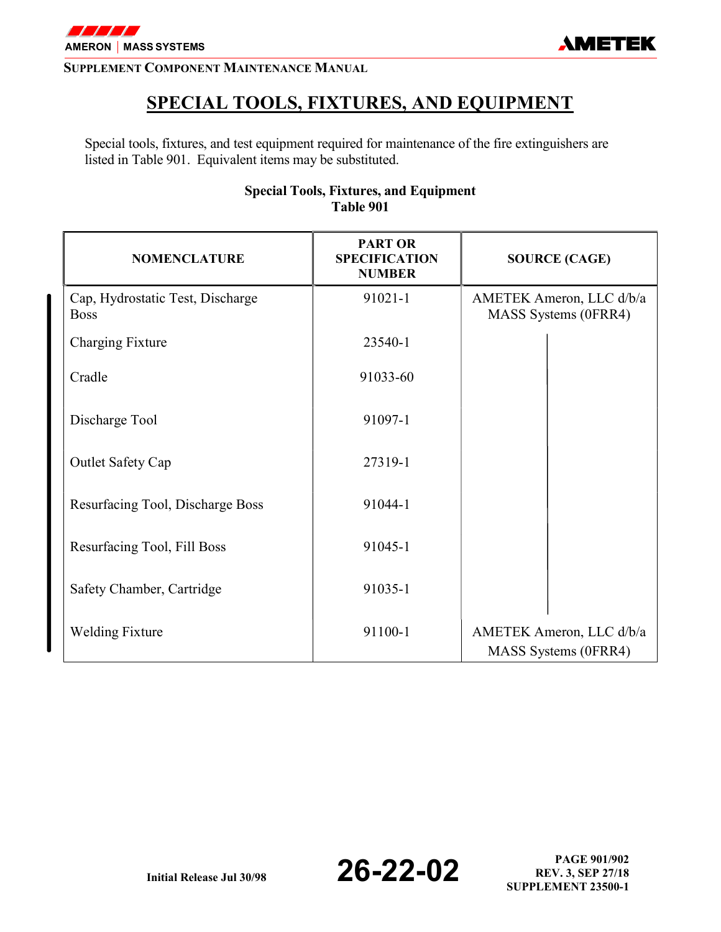

# AMERON | MASS SYSTEMS<br>SUPPLEMENT COMPONENT MAINTENANCE MANUAL<br>SPECIAL TOOLS, FIXTURES, AND EQUIPME SPECIAL TOOLS, FIXTURES, AND EQUIPMENT

Special tools, fixtures, and test equipment required for maintenance of the fire extinguishers are listed in Table 901. Equivalent items may be substituted.

| <b>NOMENCLATURE</b>                             | <b>PART OR</b><br><b>SPECIFICATION</b><br><b>NUMBER</b> | <b>SOURCE (CAGE)</b>                             |
|-------------------------------------------------|---------------------------------------------------------|--------------------------------------------------|
| Cap, Hydrostatic Test, Discharge<br><b>Boss</b> | $91021 - 1$                                             | AMETEK Ameron, LLC d/b/a<br>MASS Systems (0FRR4) |
| Charging Fixture                                | 23540-1                                                 |                                                  |
| Cradle                                          | 91033-60                                                |                                                  |
| Discharge Tool                                  | 91097-1                                                 |                                                  |
| Outlet Safety Cap                               | 27319-1                                                 |                                                  |
| Resurfacing Tool, Discharge Boss                | 91044-1                                                 |                                                  |
| Resurfacing Tool, Fill Boss                     | 91045-1                                                 |                                                  |
| Safety Chamber, Cartridge                       | 91035-1                                                 |                                                  |
| <b>Welding Fixture</b>                          | 91100-1                                                 | AMETEK Ameron, LLC d/b/a<br>MASS Systems (0FRR4) |

# Special Tools, Fixtures, and Equipment Table 901

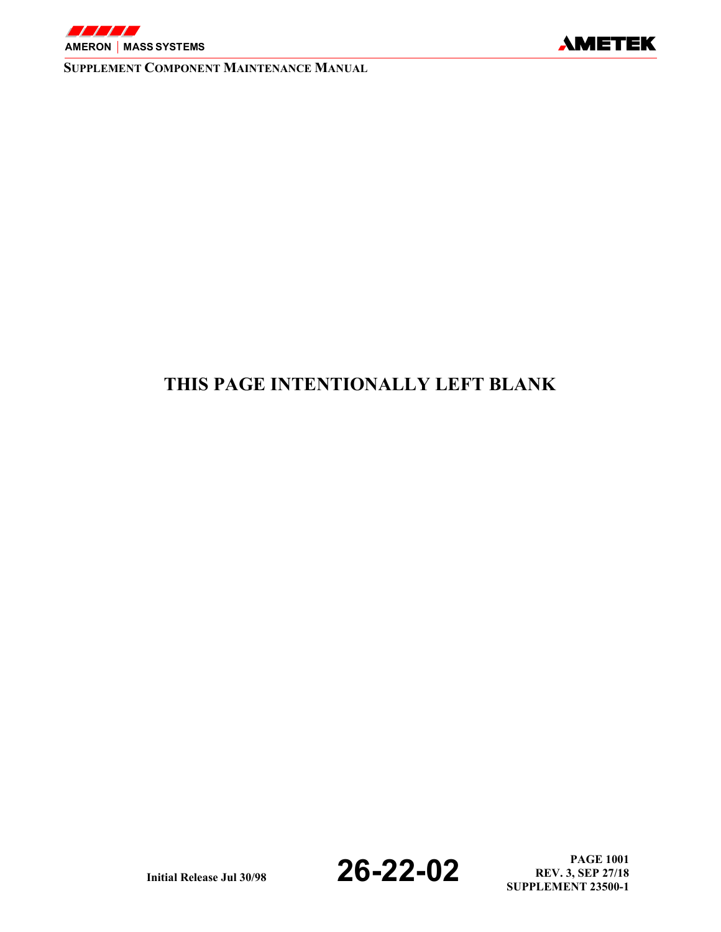

# **AMETEK**

# THIS PAGE INTENTIONALLY LEFT BLANK



REV. 3, SEP 27/18 SUPPLEMENT 23500-1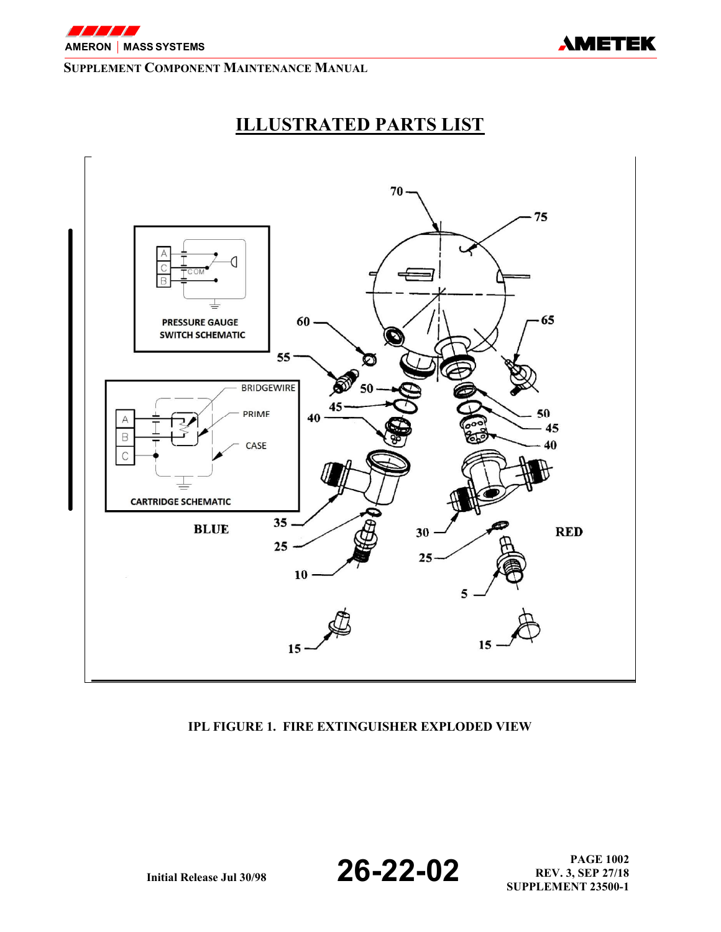

# ILLUSTRATED PARTS LIST



### IPL FIGURE 1. FIRE EXTINGUISHER EXPLODED VIEW